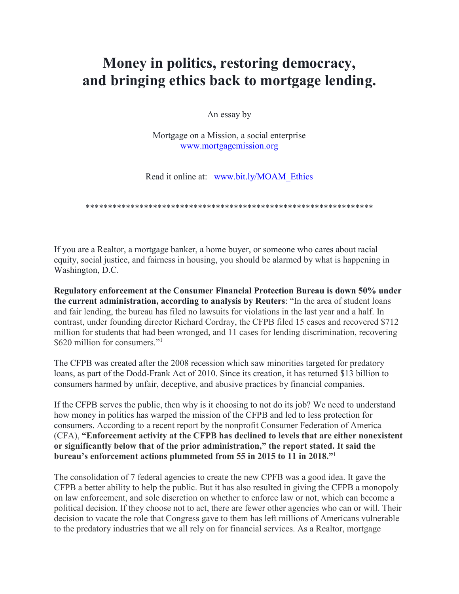# **Money in politics, restoring democracy, and bringing ethics back to mortgage lending.**

An essay by

Mortgage on a Mission, a social enterprise [www.mortgagemission.org](http://www.mortgagemission.org/)

Read it online at: [www.bit.ly/MOAM\\_Ethics](http://www.bit.ly/MOAM_Ethics)

\*\*\*\*\*\*\*\*\*\*\*\*\*\*\*\*\*\*\*\*\*\*\*\*\*\*\*\*\*\*\*\*\*\*\*\*\*\*\*\*\*\*\*\*\*\*\*\*\*\*\*\*\*\*\*\*\*\*\*\*\*\*\*\*

If you are a Realtor, a mortgage banker, a home buyer, or someone who cares about racial equity, social justice, and fairness in housing, you should be alarmed by what is happening in Washington, D.C.

**Regulatory enforcement at the Consumer Financial Protection Bureau is down 50% under the current administration, according to analysis by Reuters**: "In the area of student loans and fair lending, the bureau has filed no lawsuits for violations in the last year and a half. In contrast, under founding director Richard Cordray, the CFPB filed 15 cases and recovered \$712 million for students that had been wronged, and 11 cases for lending discrimination, recovering \$620 million for consumers."<sup>1</sup>

The CFPB was created after the 2008 recession which saw minorities targeted for predatory loans, as part of the Dodd-Frank Act of 2010. Since its creation, it has returned \$13 billion to consumers harmed by unfair, deceptive, and abusive practices by financial companies.

If the CFPB serves the public, then why is it choosing to not do its job? We need to understand how money in politics has warped the mission of the CFPB and led to less protection for consumers. According to a recent report by the nonprofit Consumer Federation of America (CFA), **"Enforcement activity at the CFPB has declined to levels that are either nonexistent or significantly below that of the prior administration," the report stated. It said the bureau's enforcement actions plummeted from 55 in 2015 to 11 in 2018."1**

The consolidation of 7 federal agencies to create the new CPFB was a good idea. It gave the CFPB a better ability to help the public. But it has also resulted in giving the CFPB a monopoly on law enforcement, and sole discretion on whether to enforce law or not, which can become a political decision. If they choose not to act, there are fewer other agencies who can or will. Their decision to vacate the role that Congress gave to them has left millions of Americans vulnerable to the predatory industries that we all rely on for financial services. As a Realtor, mortgage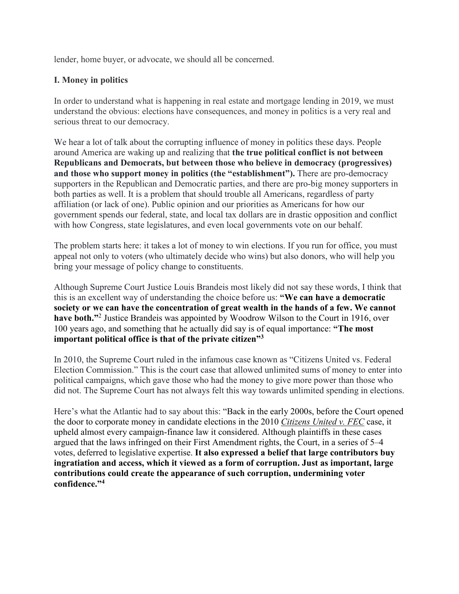lender, home buyer, or advocate, we should all be concerned.

#### **I. Money in politics**

In order to understand what is happening in real estate and mortgage lending in 2019, we must understand the obvious: elections have consequences, and money in politics is a very real and serious threat to our democracy.

We hear a lot of talk about the corrupting influence of money in politics these days. People around America are waking up and realizing that **the true political conflict is not between Republicans and Democrats, but between those who believe in democracy (progressives) and those who support money in politics (the "establishment").** There are pro-democracy supporters in the Republican and Democratic parties, and there are pro-big money supporters in both parties as well. It is a problem that should trouble all Americans, regardless of party affiliation (or lack of one). Public opinion and our priorities as Americans for how our government spends our federal, state, and local tax dollars are in drastic opposition and conflict with how Congress, state legislatures, and even local governments vote on our behalf.

The problem starts here: it takes a lot of money to win elections. If you run for office, you must appeal not only to voters (who ultimately decide who wins) but also donors, who will help you bring your message of policy change to constituents.

Although Supreme Court Justice Louis Brandeis most likely did not say these words, I think that this is an excellent way of understanding the choice before us: **"We can have a democratic society or we can have the concentration of great wealth in the hands of a few. We cannot have both."**<sup>2</sup> Justice Brandeis was appointed by Woodrow Wilson to the Court in 1916, over 100 years ago, and something that he actually did say is of equal importance: **"The most important political office is that of the private citizen"3**

In 2010, the Supreme Court ruled in the infamous case known as "Citizens United vs. Federal Election Commission." This is the court case that allowed unlimited sums of money to enter into political campaigns, which gave those who had the money to give more power than those who did not. The Supreme Court has not always felt this way towards unlimited spending in elections.

Here's what the Atlantic had to say about this: "Back in the early 2000s, before the Court opened the door to corporate money in candidate elections in the 2010 *[Citizens United v. FEC](https://www.law.cornell.edu/supct/html/08-205.ZS.html)* case, it upheld almost every campaign-finance law it considered. Although plaintiffs in these cases argued that the laws infringed on their First Amendment rights, the Court, in a series of 5–4 votes, deferred to legislative expertise. **It also expressed a belief that large contributors buy ingratiation and access, which it viewed as a form of corruption. Just as important, large contributions could create the appearance of such corruption, undermining voter confidence."4**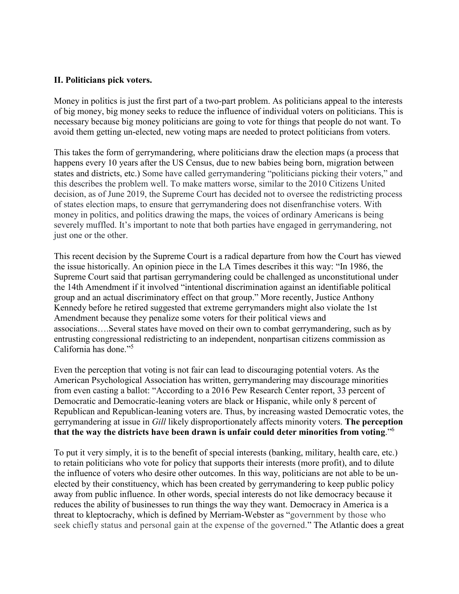#### **II. Politicians pick voters.**

Money in politics is just the first part of a two-part problem. As politicians appeal to the interests of big money, big money seeks to reduce the influence of individual voters on politicians. This is necessary because big money politicians are going to vote for things that people do not want. To avoid them getting un-elected, new voting maps are needed to protect politicians from voters.

This takes the form of gerrymandering, where politicians draw the election maps (a process that happens every 10 years after the US Census, due to new babies being born, migration between states and districts, etc.) Some have called gerrymandering "politicians picking their voters," and this describes the problem well. To make matters worse, similar to the 2010 Citizens United decision, as of June 2019, the Supreme Court has decided not to oversee the redistricting process of states election maps, to ensure that gerrymandering does not disenfranchise voters. With money in politics, and politics drawing the maps, the voices of ordinary Americans is being severely muffled. It's important to note that both parties have engaged in gerrymandering, not just one or the other.

This recent decision by the Supreme Court is a radical departure from how the Court has viewed the issue historically. An opinion piece in the LA Times describes it this way: "In 1986, the Supreme Court said that partisan gerrymandering could be challenged as unconstitutional under the 14th Amendment if it involved "intentional discrimination against an identifiable political group and an actual discriminatory effect on that group." More recently, Justice Anthony Kennedy before he retired suggested that extreme gerrymanders might also violate the 1st Amendment because they penalize some voters for their political views and associations….Several states have moved on their own to combat gerrymandering, such as by entrusting congressional redistricting to an independent, nonpartisan citizens commission as California has done."5

Even the perception that voting is not fair can lead to discouraging potential voters. As the American Psychological Association has written, gerrymandering may discourage minorities from even casting a ballot: "According to a 2016 Pew Research Center report, 33 percent of Democratic and Democratic-leaning voters are black or Hispanic, while only 8 percent of Republican and Republican-leaning voters are. Thus, by increasing wasted Democratic votes, the gerrymandering at issue in *Gill* likely disproportionately affects minority voters. **The perception that the way the districts have been drawn is unfair could deter minorities from voting**."6

To put it very simply, it is to the benefit of special interests (banking, military, health care, etc.) to retain politicians who vote for policy that supports their interests (more profit), and to dilute the influence of voters who desire other outcomes. In this way, politicians are not able to be unelected by their constituency, which has been created by gerrymandering to keep public policy away from public influence. In other words, special interests do not like democracy because it reduces the ability of businesses to run things the way they want. Democracy in America is a threat to kleptocrachy, which is defined by Merriam-Webster as "government by those who seek chiefly status and personal gain at the expense of the governed." The Atlantic does a great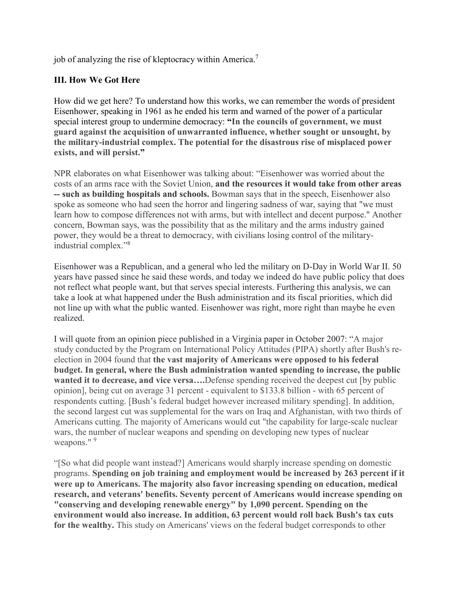job of analyzing the rise of kleptocracy within America.<sup>7</sup>

#### **III. How We Got Here**

How did we get here? To understand how this works, we can remember the words of president Eisenhower, speaking in 1961 as he ended his term and warned of the power of a particular special interest group to undermine democracy: **"In the councils of government, we must guard against the acquisition of unwarranted influence, whether sought or unsought, by the military-industrial complex. The potential for the disastrous rise of misplaced power exists, and will persist."**

NPR elaborates on what Eisenhower was talking about: "Eisenhower was worried about the costs of an arms race with the Soviet Union, **and the resources it would take from other areas -- such as building hospitals and schools.** Bowman says that in the speech, Eisenhower also spoke as someone who had seen the horror and lingering sadness of war, saying that "we must learn how to compose differences not with arms, but with intellect and decent purpose." Another concern, Bowman says, was the possibility that as the military and the arms industry gained power, they would be a threat to democracy, with civilians losing control of the militaryindustrial complex."8

Eisenhower was a Republican, and a general who led the military on D-Day in World War II. 50 years have passed since he said these words, and today we indeed do have public policy that does not reflect what people want, but that serves special interests. Furthering this analysis, we can take a look at what happened under the Bush administration and its fiscal priorities, which did not line up with what the public wanted. Eisenhower was right, more right than maybe he even realized.

I will quote from an opinion piece published in a Virginia paper in October 2007: "A major study conducted by the Program on International Policy Attitudes (PIPA) shortly after Bush's reelection in 2004 found that **the vast majority of Americans were opposed to his federal budget. In general, where the Bush administration wanted spending to increase, the public wanted it to decrease, and vice versa….**Defense spending received the deepest cut [by public opinion], being cut on average 31 percent - equivalent to \$133.8 billion - with 65 percent of respondents cutting. [Bush's federal budget however increased military spending]. In addition, the second largest cut was supplemental for the wars on Iraq and Afghanistan, with two thirds of Americans cutting. The majority of Americans would cut "the capability for large-scale nuclear wars, the number of nuclear weapons and spending on developing new types of nuclear weapons."<sup>9</sup>

"[So what did people want instead?] Americans would sharply increase spending on domestic programs. **Spending on job training and employment would be increased by 263 percent if it were up to Americans. The majority also favor increasing spending on education, medical research, and veterans' benefits. Seventy percent of Americans would increase spending on "conserving and developing renewable energy" by 1,090 percent. Spending on the environment would also increase. In addition, 63 percent would roll back Bush's tax cuts for the wealthy.** This study on Americans' views on the federal budget corresponds to other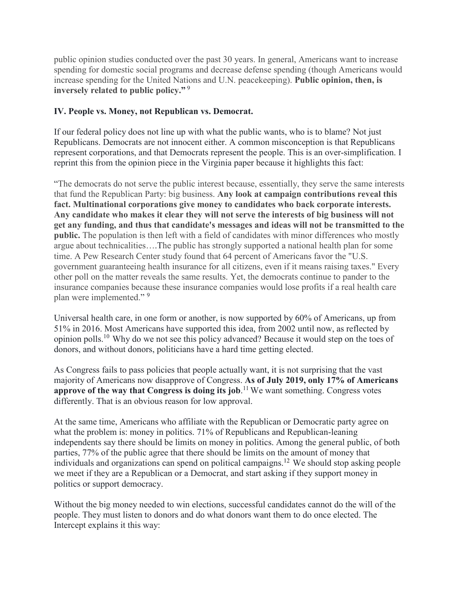public opinion studies conducted over the past 30 years. In general, Americans want to increase spending for domestic social programs and decrease defense spending (though Americans would increase spending for the United Nations and U.N. peacekeeping). **Public opinion, then, is inversely related to public policy."** <sup>9</sup>

#### **IV. People vs. Money, not Republican vs. Democrat.**

If our federal policy does not line up with what the public wants, who is to blame? Not just Republicans. Democrats are not innocent either. A common misconception is that Republicans represent corporations, and that Democrats represent the people. This is an over-simplification. I reprint this from the opinion piece in the Virginia paper because it highlights this fact:

"The democrats do not serve the public interest because, essentially, they serve the same interests that fund the Republican Party: big business. **Any look at campaign contributions reveal this fact. Multinational corporations give money to candidates who back corporate interests. Any candidate who makes it clear they will not serve the interests of big business will not get any funding, and thus that candidate's messages and ideas will not be transmitted to the public.** The population is then left with a field of candidates with minor differences who mostly argue about technicalities….The public has strongly supported a national health plan for some time. A Pew Research Center study found that 64 percent of Americans favor the "U.S. government guaranteeing health insurance for all citizens, even if it means raising taxes." Every other poll on the matter reveals the same results. Yet, the democrats continue to pander to the insurance companies because these insurance companies would lose profits if a real health care plan were implemented." <sup>9</sup>

Universal health care, in one form or another, is now supported by 60% of Americans, up from 51% in 2016. Most Americans have supported this idea, from 2002 until now, as reflected by opinion polls.10 Why do we not see this policy advanced? Because it would step on the toes of donors, and without donors, politicians have a hard time getting elected.

As Congress fails to pass policies that people actually want, it is not surprising that the vast majority of Americans now disapprove of Congress. **As of July 2019, only 17% of Americans approve of the way that Congress is doing its job**. 11 We want something. Congress votes differently. That is an obvious reason for low approval.

At the same time, Americans who affiliate with the Republican or Democratic party agree on what the problem is: money in politics. 71% of Republicans and Republican-leaning independents say there should be limits on money in politics. Among the general public, of both parties, 77% of the public agree that there should be limits on the amount of money that individuals and organizations can spend on political campaigns.12 We should stop asking people we meet if they are a Republican or a Democrat, and start asking if they support money in politics or support democracy.

Without the big money needed to win elections, successful candidates cannot do the will of the people. They must listen to donors and do what donors want them to do once elected. The Intercept explains it this way: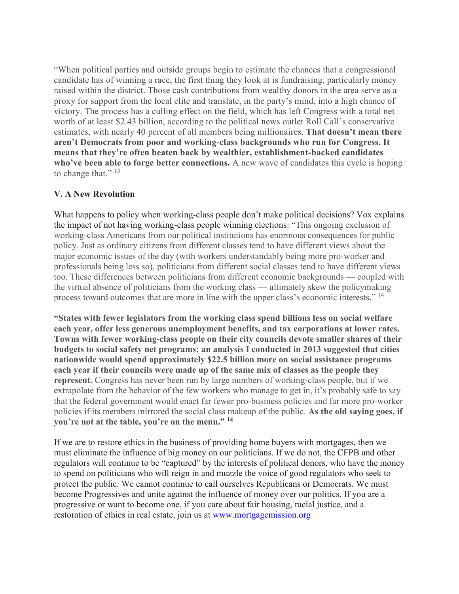"When political parties and outside groups begin to estimate the chances that a congressional candidate has of winning a race, the first thing they look at is fundraising, particularly money raised within the district. Those cash contributions from wealthy donors in the area serve as a proxy for support from the local elite and translate, in the party's mind, into a high chance of victory. The process has a culling effect on the field, which has left Congress with a total net worth of at least \$2.43 billion, according to the political news outlet Roll Call's conservative estimates, with nearly 40 percent of all members being millionaires. **That doesn't mean there aren't Democrats from poor and working-class backgrounds who run for Congress. It means that they're often beaten back by wealthier, establishment-backed candidates who've been able to forge better connections.** A new wave of candidates this cycle is hoping to change that." $^{13}$ 

### **V. A New Revolution**

What happens to policy when working-class people don't make political decisions? Vox explains the impact of not having working-class people winning elections: "This ongoing exclusion of working-class Americans from our political institutions has enormous consequences for public policy. Just as ordinary citizens from different classes tend to have different views about the major economic issues of the day (with workers understandably being more pro-worker and professionals being less so), politicians from different social classes tend to have different views too. These differences between politicians from different economic backgrounds — coupled with the virtual absence of politicians from the working class — ultimately skew the policymaking process toward outcomes that are more in line with the upper class's economic interests**.**" 14

**"States with fewer legislators from the working class spend billions less on social welfare each year, offer less generous unemployment benefits, and tax corporations at lower rates. Towns with fewer working-class people on their city councils devote smaller shares of their budgets to social safety net programs; an analysis I conducted in 2013 suggested that cities nationwide would spend approximately \$22.5 billion more on social assistance programs each year if their councils were made up of the same mix of classes as the people they represent.** Congress has never been run by large numbers of working-class people, but if we extrapolate from the behavior of the few workers who manage to get in, it's probably safe to say that the federal government would enact far fewer pro-business policies and far more pro-worker policies if its members mirrored the social class makeup of the public. **As the old saying goes, if you're not at the table, you're on the menu." <sup>14</sup>**

If we are to restore ethics in the business of providing home buyers with mortgages, then we must eliminate the influence of big money on our politicians. If we do not, the CFPB and other regulators will continue to be "captured" by the interests of political donors, who have the money to spend on politicians who will reign in and muzzle the voice of good regulators who seek to protect the public. We cannot continue to call ourselves Republicans or Democrats. We must become Progressives and unite against the influence of money over our politics. If you are a progressive or want to become one, if you care about fair housing, racial justice, and a restoration of ethics in real estate, join us at [www.mortgagemission.org](http://www.mortgagemission.org/)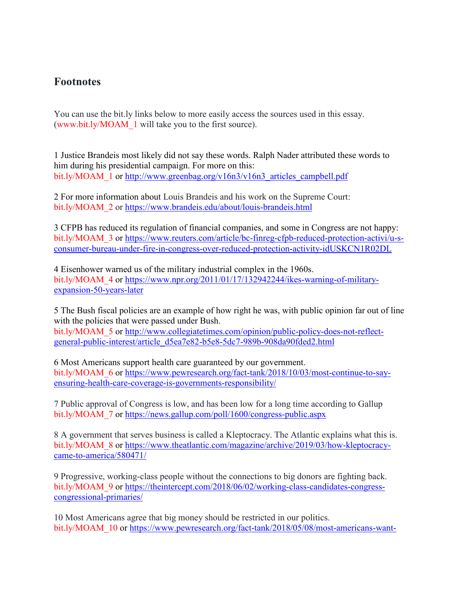## **Footnotes**

You can use the bit.ly links below to more easily access the sources used in this essay. [\(www.bit.ly/MOAM\\_1](http://www.bit.ly/MOAM_1) will take you to the first source).

1 Justice Brandeis most likely did not say these words. Ralph Nader attributed these words to him during his presidential campaign. For more on this: bit.ly/MOAM\_1 or [http://www.greenbag.org/v16n3/v16n3\\_articles\\_campbell.pdf](http://www.greenbag.org/v16n3/v16n3_articles_campbell.pdf)

2 For more information about Louis Brandeis and his work on the Supreme Court: bit.ly/MOAM\_2 or<https://www.brandeis.edu/about/louis-brandeis.html>

3 CFPB has reduced its regulation of financial companies, and some in Congress are not happy: bit.ly/MOAM\_3 or [https://www.reuters.com/article/bc-finreg-cfpb-reduced-protection-activi/u-s](https://www.reuters.com/article/bc-finreg-cfpb-reduced-protection-activi/u-s-consumer-bureau-under-fire-in-congress-over-reduced-protection-activity-idUSKCN1R02DL)[consumer-bureau-under-fire-in-congress-over-reduced-protection-activity-idUSKCN1R02DL](https://www.reuters.com/article/bc-finreg-cfpb-reduced-protection-activi/u-s-consumer-bureau-under-fire-in-congress-over-reduced-protection-activity-idUSKCN1R02DL)

4 Eisenhower warned us of the military industrial complex in the 1960s. bit.ly/MOAM\_4 or [https://www.npr.org/2011/01/17/132942244/ikes-warning-of-military](https://www.npr.org/2011/01/17/132942244/ikes-warning-of-military-expansion-50-years-later)[expansion-50-years-later](https://www.npr.org/2011/01/17/132942244/ikes-warning-of-military-expansion-50-years-later)

5 The Bush fiscal policies are an example of how right he was, with public opinion far out of line with the policies that were passed under Bush.

bit.ly/MOAM 5 or [http://www.collegiatetimes.com/opinion/public-policy-does-not-reflect](http://www.collegiatetimes.com/opinion/public-policy-does-not-reflect-general-public-interest/article_d5ea7e82-b5e8-5dc7-989b-908da90fded2.html)[general-public-interest/article\\_d5ea7e82-b5e8-5dc7-989b-908da90fded2.html](http://www.collegiatetimes.com/opinion/public-policy-does-not-reflect-general-public-interest/article_d5ea7e82-b5e8-5dc7-989b-908da90fded2.html)

6 Most Americans support health care guaranteed by our government. bit.ly/MOAM\_6 or [https://www.pewresearch.org/fact-tank/2018/10/03/most-continue-to-say](https://www.pewresearch.org/fact-tank/2018/10/03/most-continue-to-say-ensuring-health-care-coverage-is-governments-responsibility/)[ensuring-health-care-coverage-is-governments-responsibility/](https://www.pewresearch.org/fact-tank/2018/10/03/most-continue-to-say-ensuring-health-care-coverage-is-governments-responsibility/)

7 Public approval of Congress is low, and has been low for a long time according to Gallup bit.ly/MOAM\_7 or<https://news.gallup.com/poll/1600/congress-public.aspx>

8 A government that serves business is called a Kleptocracy. The Atlantic explains what this is. bit.ly/MOAM 8 or [https://www.theatlantic.com/magazine/archive/2019/03/how-kleptocracy](https://www.theatlantic.com/magazine/archive/2019/03/how-kleptocracy-came-to-america/580471/)[came-to-america/580471/](https://www.theatlantic.com/magazine/archive/2019/03/how-kleptocracy-came-to-america/580471/)

9 Progressive, working-class people without the connections to big donors are fighting back. bit.ly/MOAM\_9 or [https://theintercept.com/2018/06/02/working-class-candidates-congress](https://theintercept.com/2018/06/02/working-class-candidates-congress-congressional-primaries/)[congressional-primaries/](https://theintercept.com/2018/06/02/working-class-candidates-congress-congressional-primaries/)

10 Most Americans agree that big money should be restricted in our politics. bit.ly/MOAM\_10 or [https://www.pewresearch.org/fact-tank/2018/05/08/most-americans-want-](https://www.pewresearch.org/fact-tank/2018/05/08/most-americans-want-to-limit-campaign-spending-say-big-donors-have-greater-political-influence/)